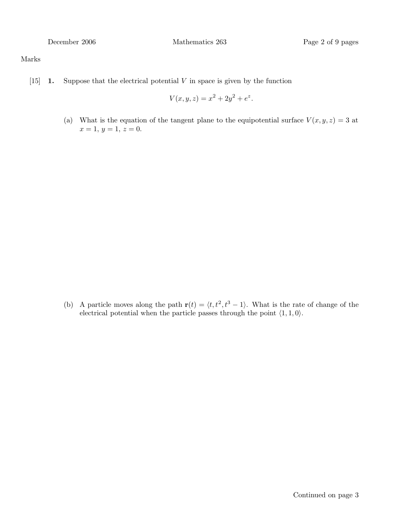#### Marks

[15] **1.** Suppose that the electrical potential  $V$  in space is given by the function

$$
V(x, y, z) = x^2 + 2y^2 + e^z.
$$

(a) What is the equation of the tangent plane to the equipotential surface  $V(x, y, z) = 3$  at  $x = 1, y = 1, z = 0.$ 

(b) A particle moves along the path  $\mathbf{r}(t) = \langle t,t^2,t^3-1 \rangle$ . What is the rate of change of the electrical potential when the particle passes through the point  $\langle 1, 1, 0 \rangle$ .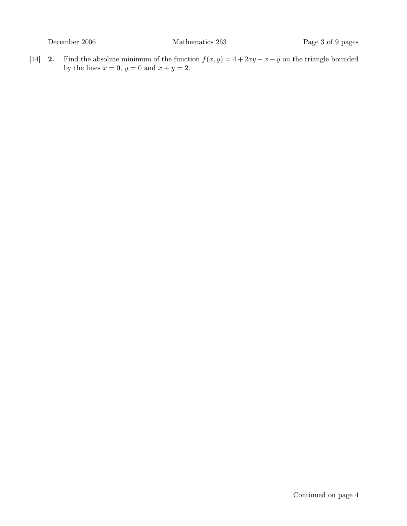[14] **2.** Find the absolute minimum of the function  $f(x, y) = 4 + 2xy - x - y$  on the triangle bounded by the lines  $x = 0$ ,  $y = 0$  and  $x + y = 2$ .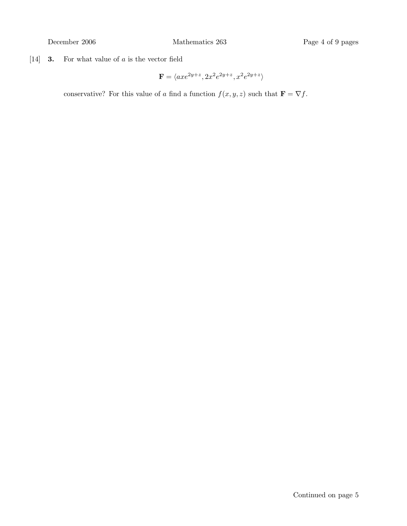[14] **3.** For what value of  $a$  is the vector field

$$
\mathbf{F}=\langle axe^{2y+z},2x^2e^{2y+z},x^2e^{2y+z}\rangle
$$

conservative? For this value of a find a function  $f(x, y, z)$  such that  $\mathbf{F} = \nabla f$ .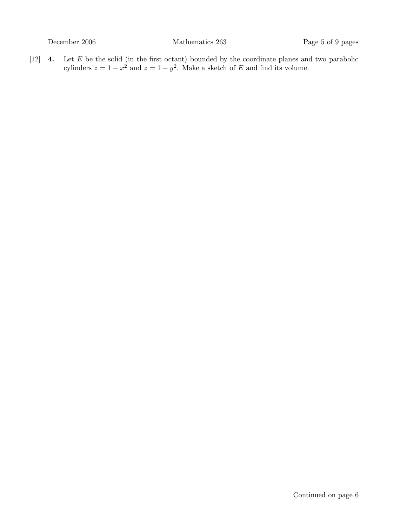$[12]$  **4.** Let E be the solid (in the first octant) bounded by the coordinate planes and two parabolic cylinders  $z = 1 - x^2$  and  $z = 1 - y^2$ . Make a sketch of E and find its volume.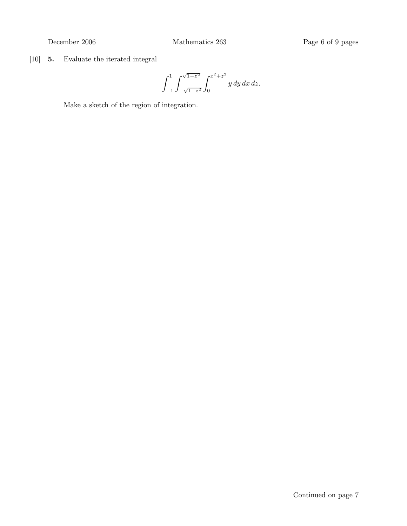[10] 5. Evaluate the iterated integral

$$
\int_{-1}^{1} \int_{-\sqrt{1-z^2}}^{\sqrt{1-z^2}} \int_{0}^{x^2+z^2} y \, dy \, dx \, dz.
$$

Make a sketch of the region of integration.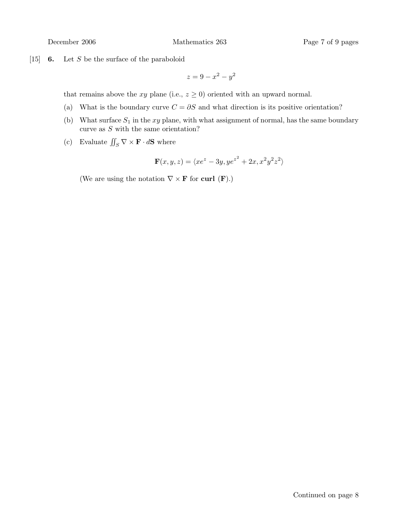[15]  $\,$  6. Let S be the surface of the paraboloid

$$
z = 9 - x^2 - y^2
$$

that remains above the xy plane (i.e.,  $z \geq 0$ ) oriented with an upward normal.

- (a) What is the boundary curve  $C = \partial S$  and what direction is its positive orientation?
- (b) What surface  $S_1$  in the xy plane, with what assignment of normal, has the same boundary curve as  $S$  with the same orientation?
- (c) Evaluate  $\iint_S \nabla \times \mathbf{F} \cdot d\mathbf{S}$  where

$$
\mathbf{F}(x,y,z)=\langle xe^z-3y, ye^{z^2}+2x, x^2y^2z^2\rangle
$$

(We are using the notation  $\nabla \times \mathbf{F}$  for curl  $(\mathbf{F})$ .)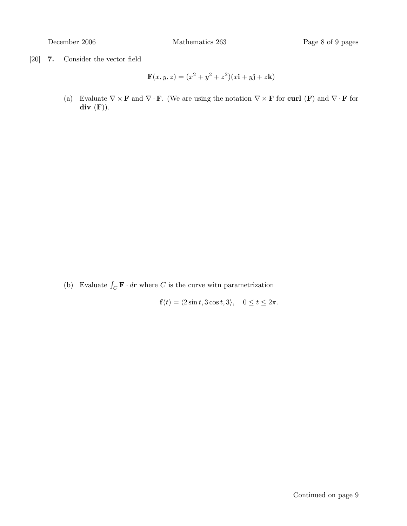[20] 7. Consider the vector field

$$
\mathbf{F}(x, y, z) = (x^2 + y^2 + z^2)(x\mathbf{i} + y\mathbf{j} + z\mathbf{k})
$$

(a) Evaluate  $\nabla \times \mathbf{F}$  and  $\nabla \cdot \mathbf{F}$ . (We are using the notation  $\nabla \times \mathbf{F}$  for curl (F) and  $\nabla \cdot \mathbf{F}$  for  $div$   $(F)$ ).

(b) Evaluate  $\int_C \mathbf{F} \cdot d\mathbf{r}$  where C is the curve witn parametrization

 $f(t) = \langle 2\sin t, 3\cos t, 3 \rangle, \quad 0 \le t \le 2\pi.$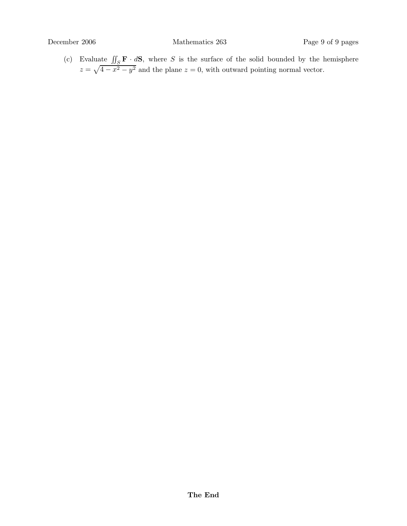(c) Evaluate  $\iint_S \mathbf{F} \cdot d\mathbf{S}$ , where S is the surface of the solid bounded by the hemisphere  $z = \sqrt{4 - x^2 - y^2}$  and the plane  $z = 0$ , with outward pointing normal vector.